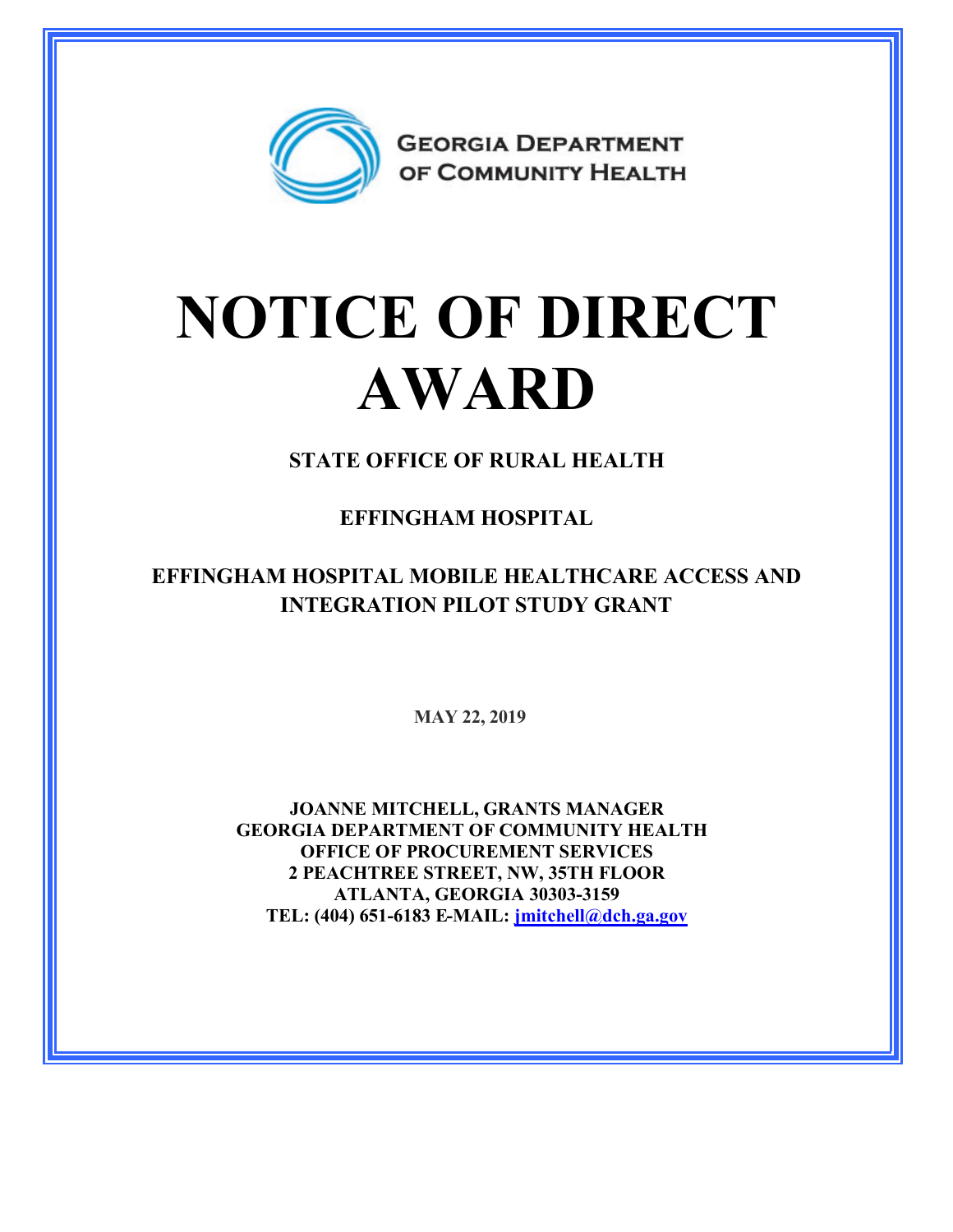

## **NOTICE OF DIRECT AWARD**

**STATE OFFICE OF RURAL HEALTH**

**EFFINGHAM HOSPITAL**

**EFFINGHAM HOSPITAL MOBILE HEALTHCARE ACCESS AND INTEGRATION PILOT STUDY GRANT**

**MAY 22, 2019**

**JOANNE MITCHELL, GRANTS MANAGER GEORGIA DEPARTMENT OF COMMUNITY HEALTH OFFICE OF PROCUREMENT SERVICES 2 PEACHTREE STREET, NW, 35TH FLOOR ATLANTA, GEORGIA 30303-3159 TEL: (404) 651-6183 E-MAIL: [jmitchell@dch.ga.gov](mailto:jmitchell@dch.ga.gov)**